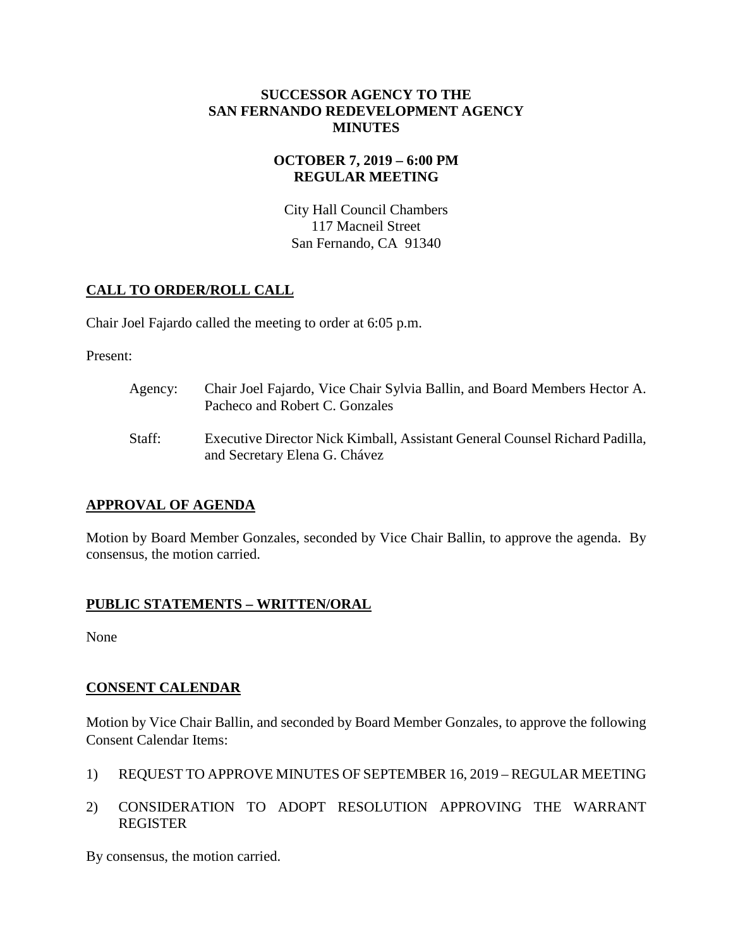#### **SUCCESSOR AGENCY TO THE SAN FERNANDO REDEVELOPMENT AGENCY MINUTES**

## **OCTOBER 7, 2019 – 6:00 PM REGULAR MEETING**

City Hall Council Chambers 117 Macneil Street San Fernando, CA 91340

# **CALL TO ORDER/ROLL CALL**

Chair Joel Fajardo called the meeting to order at 6:05 p.m.

Present:

Agency: Chair Joel Fajardo, Vice Chair Sylvia Ballin, and Board Members Hector A. Pacheco and Robert C. Gonzales Staff: Executive Director Nick Kimball, Assistant General Counsel Richard Padilla, and Secretary Elena G. Chávez

## **APPROVAL OF AGENDA**

Motion by Board Member Gonzales, seconded by Vice Chair Ballin, to approve the agenda. By consensus, the motion carried.

## **PUBLIC STATEMENTS – WRITTEN/ORAL**

None

## **CONSENT CALENDAR**

Motion by Vice Chair Ballin, and seconded by Board Member Gonzales, to approve the following Consent Calendar Items:

- 1) REQUEST TO APPROVE MINUTES OF SEPTEMBER 16, 2019 REGULAR MEETING
- 2) CONSIDERATION TO ADOPT RESOLUTION APPROVING THE WARRANT REGISTER

By consensus, the motion carried.